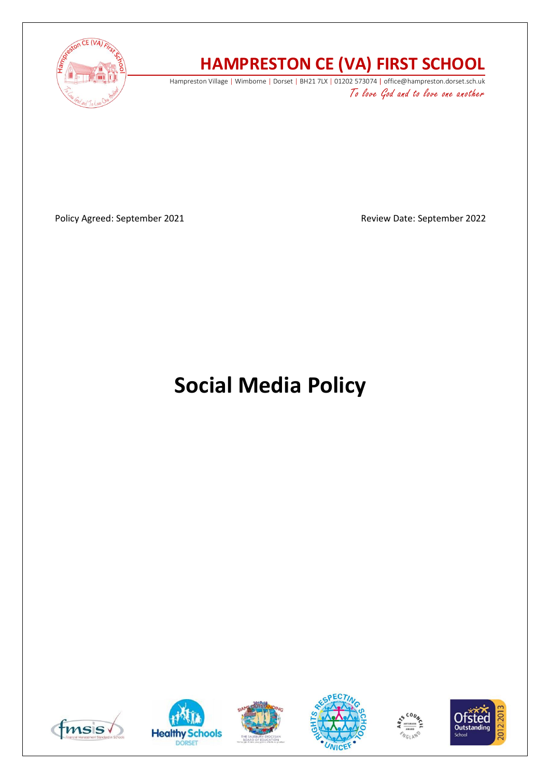

# **HAMPRESTON CE (VA) FIRST SCHOOL**

Hampreston Village | Wimborne | Dorset | BH21 7LX | 01202 573074 | office@hampreston.dorset.sch.uk To love God and to love one another

Policy Agreed: September 2021 and a september 2022

# **Social Media Policy**











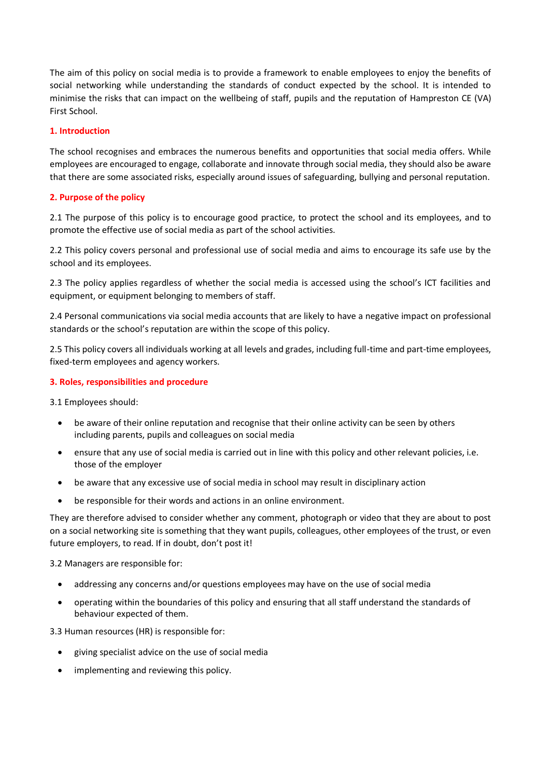The aim of this policy on social media is to provide a framework to enable employees to enjoy the benefits of social networking while understanding the standards of conduct expected by the school. It is intended to minimise the risks that can impact on the wellbeing of staff, pupils and the reputation of Hampreston CE (VA) First School.

# **1. Introduction**

The school recognises and embraces the numerous benefits and opportunities that social media offers. While employees are encouraged to engage, collaborate and innovate through social media, they should also be aware that there are some associated risks, especially around issues of safeguarding, bullying and personal reputation.

# **2. Purpose of the policy**

2.1 The purpose of this policy is to encourage good practice, to protect the school and its employees, and to promote the effective use of social media as part of the school activities.

2.2 This policy covers personal and professional use of social media and aims to encourage its safe use by the school and its employees.

2.3 The policy applies regardless of whether the social media is accessed using the school's ICT facilities and equipment, or equipment belonging to members of staff.

2.4 Personal communications via social media accounts that are likely to have a negative impact on professional standards or the school's reputation are within the scope of this policy.

2.5 This policy covers all individuals working at all levels and grades, including full-time and part-time employees, fixed-term employees and agency workers.

# **3. Roles, responsibilities and procedure**

3.1 Employees should:

- be aware of their online reputation and recognise that their online activity can be seen by others including parents, pupils and colleagues on social media
- ensure that any use of social media is carried out in line with this policy and other relevant policies, i.e. those of the employer
- be aware that any excessive use of social media in school may result in disciplinary action
- be responsible for their words and actions in an online environment.

They are therefore advised to consider whether any comment, photograph or video that they are about to post on a social networking site is something that they want pupils, colleagues, other employees of the trust, or even future employers, to read. If in doubt, don't post it!

3.2 Managers are responsible for:

- addressing any concerns and/or questions employees may have on the use of social media
- operating within the boundaries of this policy and ensuring that all staff understand the standards of behaviour expected of them.

3.3 Human resources (HR) is responsible for:

- giving specialist advice on the use of social media
- implementing and reviewing this policy.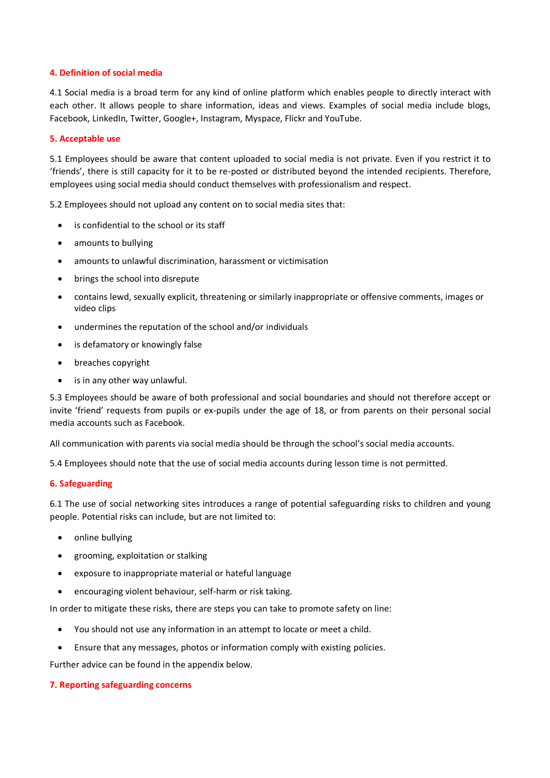# **4. Definition of social media**

4.1 Social media is a broad term for any kind of online platform which enables people to directly interact with each other. It allows people to share information, ideas and views. Examples of social media include blogs, Facebook, LinkedIn, Twitter, Google+, Instagram, Myspace, Flickr and YouTube.

# **5. Acceptable use**

5.1 Employees should be aware that content uploaded to social media is not private. Even if you restrict it to 'friends', there is still capacity for it to be re-posted or distributed beyond the intended recipients. Therefore, employees using social media should conduct themselves with professionalism and respect.

5.2 Employees should not upload any content on to social media sites that:

- is confidential to the school or its staff
- amounts to bullying
- amounts to unlawful discrimination, harassment or victimisation
- brings the school into disrepute
- contains lewd, sexually explicit, threatening or similarly inappropriate or offensive comments, images or video clips
- undermines the reputation of the school and/or individuals
- is defamatory or knowingly false
- breaches copyright
- is in any other way unlawful.

5.3 Employees should be aware of both professional and social boundaries and should not therefore accept or invite 'friend' requests from pupils or ex-pupils under the age of 18, or from parents on their personal social media accounts such as Facebook.

All communication with parents via social media should be through the school's social media accounts.

5.4 Employees should note that the use of social media accounts during lesson time is not permitted.

#### **6. Safeguarding**

6.1 The use of social networking sites introduces a range of potential safeguarding risks to children and young people. Potential risks can include, but are not limited to:

- online bullying
- grooming, exploitation or stalking
- exposure to inappropriate material or hateful language
- encouraging violent behaviour, self-harm or risk taking.

In order to mitigate these risks, there are steps you can take to promote safety on line:

- You should not use any information in an attempt to locate or meet a child.
- Ensure that any messages, photos or information comply with existing policies.

Further advice can be found in the appendix below.

#### **7. Reporting safeguarding concerns**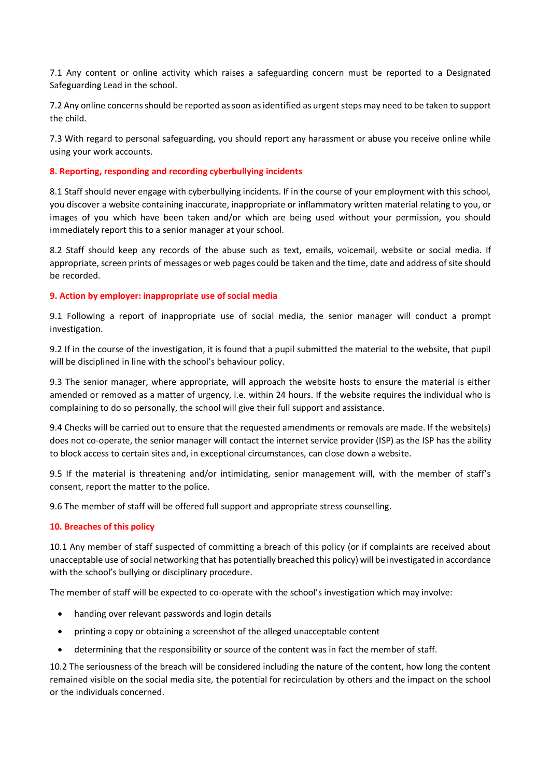7.1 Any content or online activity which raises a safeguarding concern must be reported to a Designated Safeguarding Lead in the school.

7.2 Any online concerns should be reported as soon as identified as urgent steps may need to be taken to support the child.

7.3 With regard to personal safeguarding, you should report any harassment or abuse you receive online while using your work accounts.

#### **8. Reporting, responding and recording cyberbullying incidents**

8.1 Staff should never engage with cyberbullying incidents. If in the course of your employment with this school, you discover a website containing inaccurate, inappropriate or inflammatory written material relating to you, or images of you which have been taken and/or which are being used without your permission, you should immediately report this to a senior manager at your school.

8.2 Staff should keep any records of the abuse such as text, emails, voicemail, website or social media. If appropriate, screen prints of messages or web pages could be taken and the time, date and address of site should be recorded.

# **9. Action by employer: inappropriate use of social media**

9.1 Following a report of inappropriate use of social media, the senior manager will conduct a prompt investigation.

9.2 If in the course of the investigation, it is found that a pupil submitted the material to the website, that pupil will be disciplined in line with the school's behaviour policy.

9.3 The senior manager, where appropriate, will approach the website hosts to ensure the material is either amended or removed as a matter of urgency, i.e. within 24 hours. If the website requires the individual who is complaining to do so personally, the school will give their full support and assistance.

9.4 Checks will be carried out to ensure that the requested amendments or removals are made. If the website(s) does not co-operate, the senior manager will contact the internet service provider (ISP) as the ISP has the ability to block access to certain sites and, in exceptional circumstances, can close down a website.

9.5 If the material is threatening and/or intimidating, senior management will, with the member of staff's consent, report the matter to the police.

9.6 The member of staff will be offered full support and appropriate stress counselling.

#### **10. Breaches of this policy**

10.1 Any member of staff suspected of committing a breach of this policy (or if complaints are received about unacceptable use of social networking that has potentially breached this policy) will be investigated in accordance with the school's bullying or disciplinary procedure.

The member of staff will be expected to co-operate with the school's investigation which may involve:

- handing over relevant passwords and login details
- printing a copy or obtaining a screenshot of the alleged unacceptable content
- determining that the responsibility or source of the content was in fact the member of staff.

10.2 The seriousness of the breach will be considered including the nature of the content, how long the content remained visible on the social media site, the potential for recirculation by others and the impact on the school or the individuals concerned.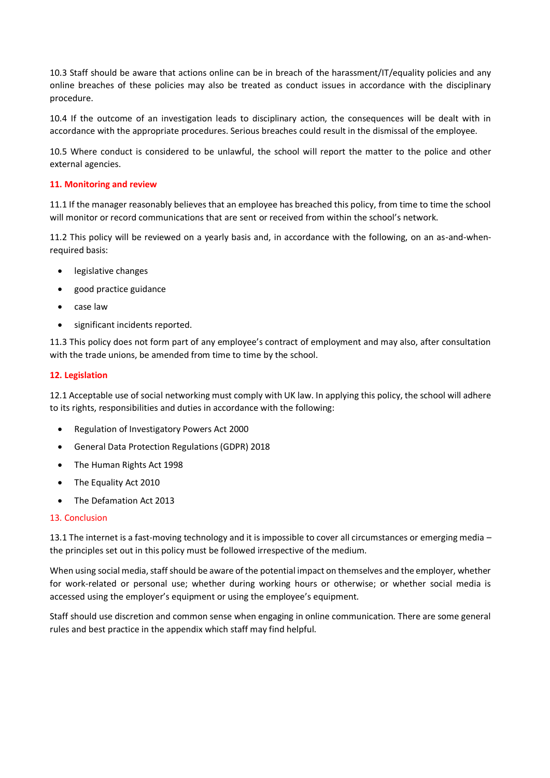10.3 Staff should be aware that actions online can be in breach of the harassment/IT/equality policies and any online breaches of these policies may also be treated as conduct issues in accordance with the disciplinary procedure.

10.4 If the outcome of an investigation leads to disciplinary action, the consequences will be dealt with in accordance with the appropriate procedures. Serious breaches could result in the dismissal of the employee.

10.5 Where conduct is considered to be unlawful, the school will report the matter to the police and other external agencies.

# **11. Monitoring and review**

11.1 If the manager reasonably believes that an employee has breached this policy, from time to time the school will monitor or record communications that are sent or received from within the school's network.

11.2 This policy will be reviewed on a yearly basis and, in accordance with the following, on an as-and-whenrequired basis:

- legislative changes
- good practice guidance
- case law
- significant incidents reported.

11.3 This policy does not form part of any employee's contract of employment and may also, after consultation with the trade unions, be amended from time to time by the school.

#### **12. Legislation**

12.1 Acceptable use of social networking must comply with UK law. In applying this policy, the school will adhere to its rights, responsibilities and duties in accordance with the following:

- Regulation of Investigatory Powers Act 2000
- General Data Protection Regulations (GDPR) 2018
- The Human Rights Act 1998
- The Equality Act 2010
- The Defamation Act 2013

#### 13. Conclusion

13.1 The internet is a fast-moving technology and it is impossible to cover all circumstances or emerging media – the principles set out in this policy must be followed irrespective of the medium.

When using social media, staff should be aware of the potential impact on themselves and the employer, whether for work-related or personal use; whether during working hours or otherwise; or whether social media is accessed using the employer's equipment or using the employee's equipment.

Staff should use discretion and common sense when engaging in online communication. There are some general rules and best practice in the appendix which staff may find helpful.